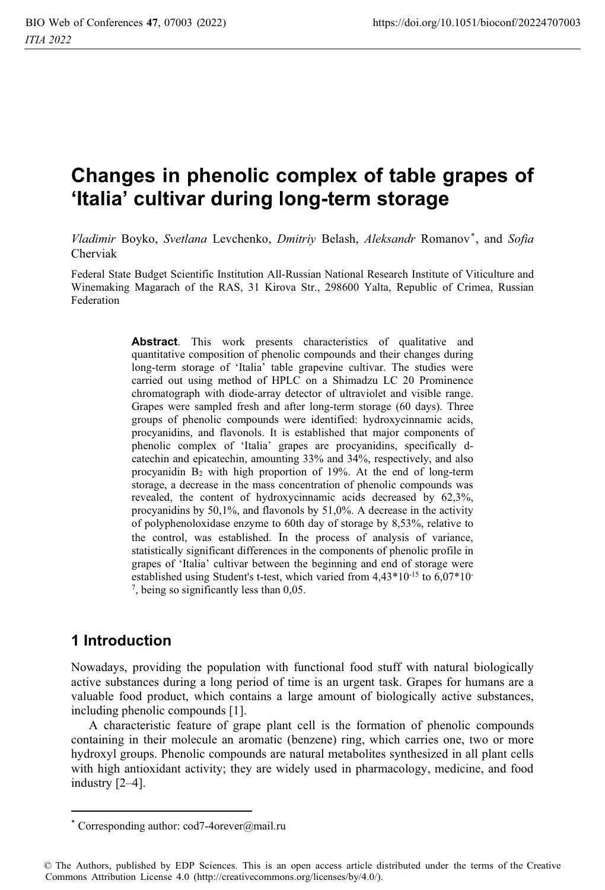# Changes in phenolic complex of table grapes of 'Italia' cultivar during long-term storage

Vladimir Boyko, Svetlana Levchenko, Dmitriy Belash, Aleksandr Romanov\*, and Sofia Cherviak

Federal State Budget Scientific Institution All-Russian National Research Institute of Viticulture and Winemaking Magarach of the RAS, 31 Kirova Str., 298600 Yalta, Republic of Crimea, Russian Federation

> Abstract. This work presents characteristics of qualitative and quantitative composition of phenolic compounds and their changes during long-term storage of 'Italia' table grapevine cultivar. The studies were carried out using method of HPLC on a Shimadzu LC 20 Prominence chromatograph with diode-array detector of ultraviolet and visible range. Grapes were sampled fresh and after long-term storage (60 days). Three groups of phenolic compounds were identified: hydroxycinnamic acids, procyanidins, and flavonols. It is established that major components of phenolic complex of 'Italia' grapes are procyanidins, specifically dcatechin and epicatechin, amounting 33% and 34%, respectively, and also procyanidin B<sub>2</sub> with high proportion of 19%. At the end of long-term storage, a decrease in the mass concentration of phenolic compounds was revealed, the content of hydroxycinnamic acids decreased by 62.3%, procyanidins by  $50,1\%$ , and flavonols by  $51,0\%$ . A decrease in the activity of polyphenoloxidase enzyme to 60th day of storage by 8,53%, relative to the control, was established. In the process of analysis of variance, statistically significant differences in the components of phenolic profile in grapes of 'Italia' cultivar between the beginning and end of storage were established using Student's t-test, which varied from  $4,43*10^{-15}$  to  $6,07*10^{-15}$  $7$ , being so significantly less than 0,05.

## 1 Introduction

Nowadays, providing the population with functional food stuff with natural biologically active substances during a long period of time is an urgent task. Grapes for humans are a valuable food product, which contains a large amount of biologically active substances, including phenolic compounds [1].

A characteristic feature of grape plant cell is the formation of phenolic compounds containing in their molecule an aromatic (benzene) ring, which carries one, two or more hydroxyl groups. Phenolic compounds are natural metabolites synthesized in all plant cells with high antioxidant activity; they are widely used in pharmacology, medicine, and food industry [2-4].

<sup>\*</sup> Corresponding author:  $\text{cod}7\text{-}4$ orever@mail.ru

<sup>©</sup> The Authors, published by EDP Sciences. This is an open access article distributed under the terms of the Creative Commons Attribution License 4.0 (http://creativecommons.org/licenses/by/4.0/).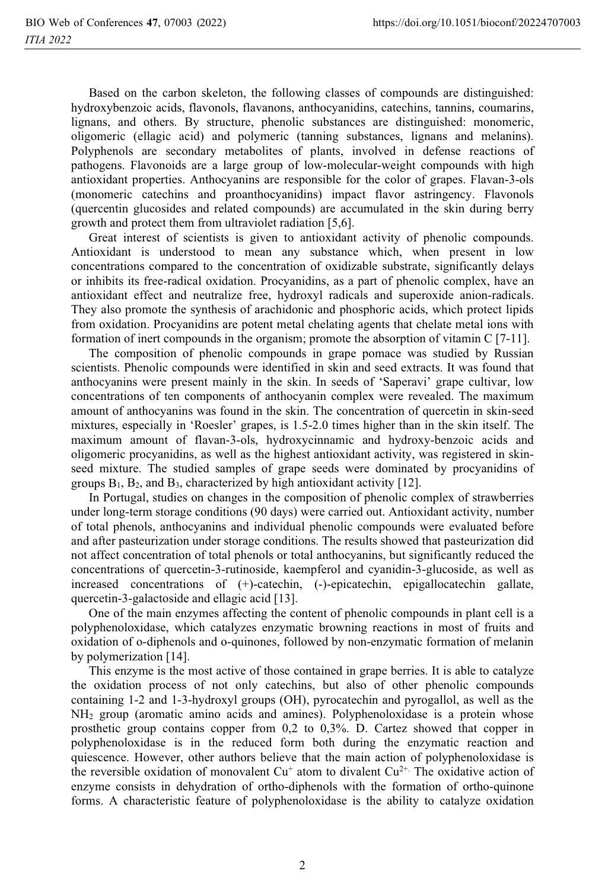Based on the carbon skeleton, the following classes of compounds are distinguished: hydroxybenzoic acids, flavonols, flavanons, anthocyanidins, catechins, tannins, coumarins, lignans, and others. By structure, phenolic substances are distinguished: monomeric, oligomeric (ellagic acid) and polymeric (tanning substances, lignans and melanins). Polyphenols are secondary metabolites of plants, involved in defense reactions of pathogens. Flavonoids are a large group of low-molecular-weight compounds with high antioxidant properties. Anthocyanins are responsible for the color of grapes. Flavan-3-ols (monomeric catechins and proanthocyanidins) impact flavor astringency. Flavonols (quercentin glucosides and related compounds) are accumulated in the skin during berry growth and protect them from ultraviolet radiation [5,6].

Great interest of scientists is given to antioxidant activity of phenolic compounds. Antioxidant is understood to mean any substance which, when present in low concentrations compared to the concentration of oxidizable substrate, significantly delays or inhibits its free-radical oxidation. Procyanidins, as a part of phenolic complex, have an antioxidant effect and neutralize free, hydroxyl radicals and superoxide anion-radicals. They also promote the synthesis of arachidonic and phosphoric acids, which protect lipids from oxidation. Procyanidins are potent metal chelating agents that chelate metal ions with formation of inert compounds in the organism; promote the absorption of vitamin  $C$  [7-11].

The composition of phenolic compounds in grape pomace was studied by Russian scientists. Phenolic compounds were identified in skin and seed extracts. It was found that anthocyaning were present mainly in the skin. In seeds of 'Saperavi' grape cultivar, low concentrations of ten components of anthocyanin complex were revealed. The maximum amount of anthocyanins was found in the skin. The concentration of quercetin in skin-seed mixtures, especially in 'Roesler' grapes, is 1.5-2.0 times higher than in the skin itself. The maximum amount of flavan-3-ols, hydroxycinnamic and hydroxy-benzoic acids and oligomeric procyanidins, as well as the highest antioxidant activity, was registered in skinseed mixture. The studied samples of grape seeds were dominated by procyanidins of groups  $B_1$ ,  $B_2$ , and  $B_3$ , characterized by high antioxidant activity [12].

In Portugal, studies on changes in the composition of phenolic complex of strawberries under long-term storage conditions (90 days) were carried out. Antioxidant activity, number of total phenols, anthocyanins and individual phenolic compounds were evaluated before and after pasteurization under storage conditions. The results showed that pasteurization did not affect concentration of total phenols or total anthocyanins, but significantly reduced the concentrations of quercetin-3-rutinoside, kaempferol and cyanidin-3-glucoside, as well as increased concentrations of (+)-catechin, (-)-epicatechin, epigallocatechin gallate, quercetin-3-galactoside and ellagic acid [13].

One of the main enzymes affecting the content of phenolic compounds in plant cell is a polyphenoloxidase, which catalyzes enzymatic browning reactions in most of fruits and oxidation of o-diphenols and o-quinones, followed by non-enzymatic formation of melanin by polymerization [14].

This enzyme is the most active of those contained in grape berries. It is able to catalyze the oxidation process of not only catechins, but also of other phenolic compounds containing 1-2 and 1-3-hydroxyl groups (OH), pyrocatechin and pyrogallol, as well as the NH<sub>2</sub> group (aromatic amino acids and amines). Polyphenoloxidase is a protein whose prosthetic group contains copper from  $0.2$  to  $0.3\%$ . D. Cartez showed that copper in polyphenoloxidase is in the reduced form both during the enzymatic reaction and quiescence. However, other authors believe that the main action of polyphenoloxidase is the reversible oxidation of monovalent  $Cu^+$  atom to divalent  $Cu^{2+}$ . The oxidative action of enzyme consists in dehydration of ortho-diphenols with the formation of ortho-quinone forms. A characteristic feature of polyphenoloxidase is the ability to catalyze oxidation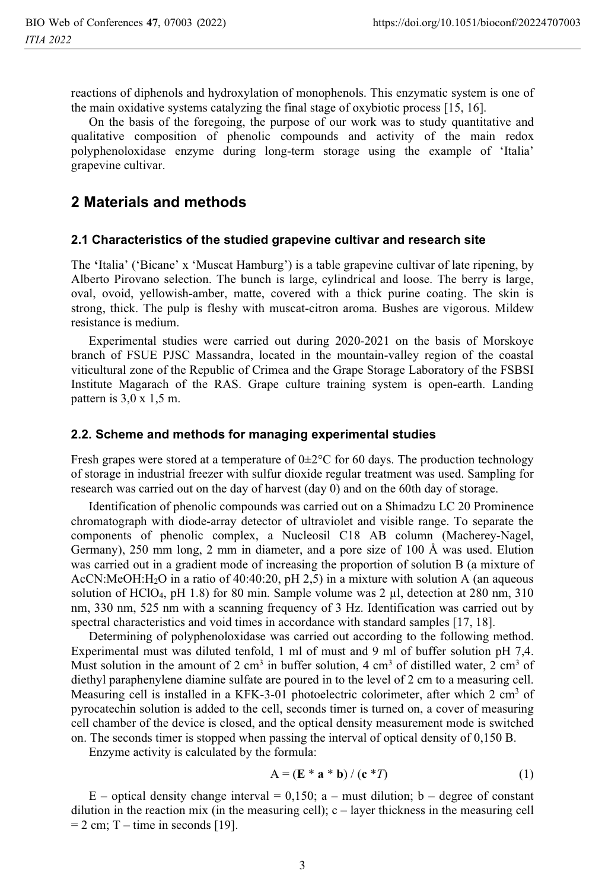reactions of diphenols and hydroxylation of monophenols. This enzymatic system is one of the main oxidative systems catalyzing the final stage of oxybiotic process [15, 16].

On the basis of the foregoing, the purpose of our work was to study quantitative and qualitative composition of phenolic compounds and activity of the main redox polyphenoloxidase enzyme during long-term storage using the example of 'Italia' grapevine cultivar.

## 2 Materials and methods

#### 2.1 Characteristics of the studied grapevine cultivar and research site

The 'Italia' ('Bicane' x 'Muscat Hamburg') is a table grapevine cultivar of late ripening, by Alberto Pirovano selection. The bunch is large, cylindrical and loose. The berry is large, oval, ovoid, yellowish-amber, matte, covered with a thick purine coating. The skin is strong, thick. The pulp is fleshy with muscat-citron aroma. Bushes are vigorous. Mildew resistance is medium.

Experimental studies were carried out during 2020-2021 on the basis of Morskove branch of FSUE PJSC Massandra, located in the mountain-valley region of the coastal viticultural zone of the Republic of Crimea and the Grape Storage Laboratory of the FSBSI Institute Magarach of the RAS. Grape culture training system is open-earth. Landing pattern is  $3,0 \times 1,5$  m.

#### 2.2. Scheme and methods for managing experimental studies

Fresh grapes were stored at a temperature of  $0\pm 2^{\circ}$ C for 60 days. The production technology of storage in industrial freezer with sulfur dioxide regular treatment was used. Sampling for research was carried out on the day of harvest (day 0) and on the 60th day of storage.

Identification of phenolic compounds was carried out on a Shimadzu LC 20 Prominence chromatograph with diode-array detector of ultraviolet and visible range. To separate the components of phenolic complex, a Nucleosil C18 AB column (Macherey-Nagel, Germany), 250 mm long, 2 mm in diameter, and a pore size of 100 Å was used. Elution was carried out in a gradient mode of increasing the proportion of solution B (a mixture of AcCN:MeOH:H<sub>2</sub>O in a ratio of 40:40:20, pH 2,5) in a mixture with solution A (an aqueous solution of HClO<sub>4</sub>, pH 1.8) for 80 min. Sample volume was  $2 \mu l$ , detection at 280 nm, 310 nm, 330 nm, 525 nm with a scanning frequency of 3 Hz. Identification was carried out by spectral characteristics and void times in accordance with standard samples [17, 18].

Determining of polyphenoloxidase was carried out according to the following method. Experimental must was diluted tenfold, 1 ml of must and 9 ml of buffer solution pH 7,4. Must solution in the amount of 2 cm<sup>3</sup> in buffer solution, 4 cm<sup>3</sup> of distilled water, 2 cm<sup>3</sup> of diethyl paraphenylene diamine sulfate are poured in to the level of 2 cm to a measuring cell. Measuring cell is installed in a KFK-3-01 photoelectric colorimeter, after which 2 cm<sup>3</sup> of pyrocatechin solution is added to the cell, seconds timer is turned on, a cover of measuring cell chamber of the device is closed, and the optical density measurement mode is switched on. The seconds timer is stopped when passing the interval of optical density of 0,150 B.

Enzyme activity is calculated by the formula:

$$
A = (E * a * b) / (c * T)
$$
 (1)

 $E$  – optical density change interval = 0,150; a – must dilution; b – degree of constant dilution in the reaction mix (in the measuring cell);  $c -$  layer thickness in the measuring cell  $= 2$  cm; T – time in seconds [19].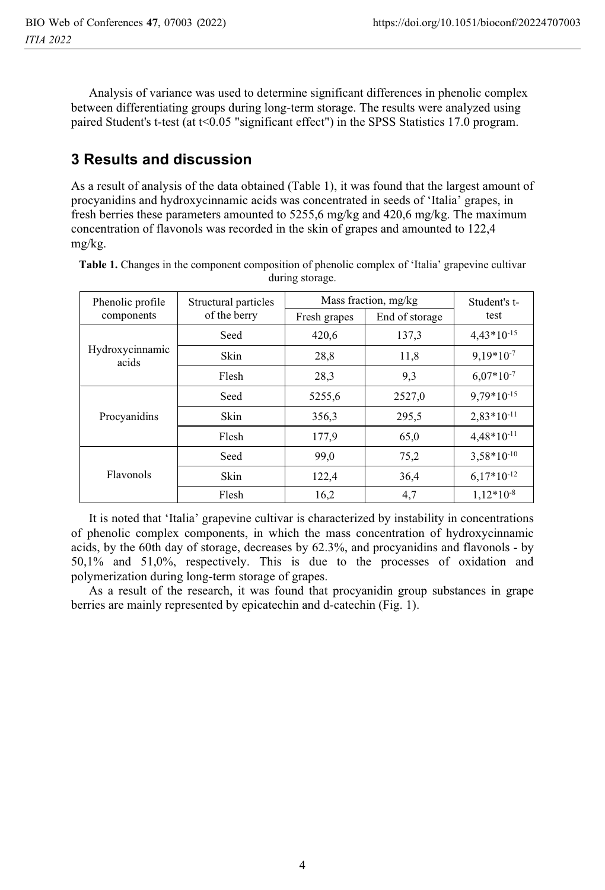Analysis of variance was used to determine significant differences in phenolic complex between differentiating groups during long-term storage. The results were analyzed using paired Student's t-test (at  $t \leq 0.05$  "significant effect") in the SPSS Statistics 17.0 program.

## **3 Results and discussion**

As a result of analysis of the data obtained (Table 1), it was found that the largest amount of procyanidins and hydroxycinnamic acids was concentrated in seeds of 'Italia' grapes, in fresh berries these parameters amounted to  $5255,6$  mg/kg and  $420,6$  mg/kg. The maximum concentration of flavonols was recorded in the skin of grapes and amounted to 122,4  $mg/kg$ .

| Phenolic profile<br>components | Structural particles<br>of the berry | Mass fraction, mg/kg |                | Student's t-    |
|--------------------------------|--------------------------------------|----------------------|----------------|-----------------|
|                                |                                      | Fresh grapes         | End of storage | test            |
| Hydroxycinnamic<br>acids       | Seed                                 | 420,6                | 137,3          | $4,43*10^{-15}$ |
|                                | Skin                                 | 28,8                 | 11,8           | $9.19*10-7$     |
|                                | Flesh                                | 28,3                 | 9,3            | $6.07*10^{-7}$  |
| Procyanidins                   | Seed                                 | 5255,6               | 2527,0         | $9,79*10^{-15}$ |
|                                | Skin                                 | 356,3                | 295,5          | $2,83*10^{-11}$ |
|                                | Flesh                                | 177,9                | 65,0           | $4,48*10^{-11}$ |
| Flavonols                      | Seed                                 | 99,0                 | 75,2           | $3,58*10^{-10}$ |
|                                | Skin                                 | 122,4                | 36,4           | $6,17*10^{-12}$ |
|                                | Flesh                                | 16,2                 | 4,7            | $1.12*10-8$     |

**Table 1.** Changes in the component composition of phenolic complex of 'Italia' grapevine cultivar<br>during storage during storage.

It is noted that 'Italia' grapevine cultivar is characterized by instability in concentrations of phenolic complex components, in which the mass concentration of hydroxycinnamic acids, by the 60th day of storage, decreases by  $62.3\%$ , and procyanidins and flavonols - by  $50,1\%$  and  $51,0\%$ , respectively. This is due to the processes of oxidation and polymerization during long-term storage of grapes.

As a result of the research, it was found that procyanidin group substances in grape berries are mainly represented by epicatechin and d-catechin (Fig. 1).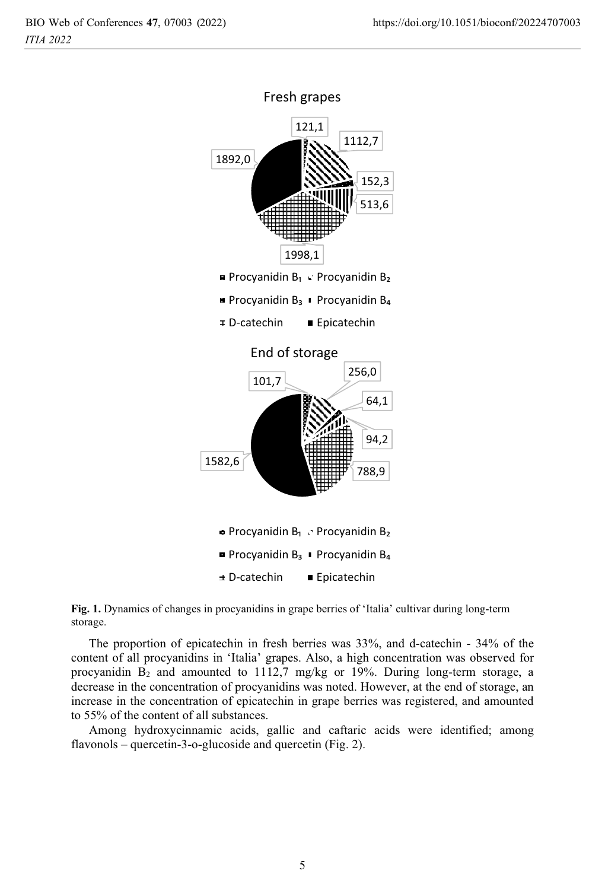



The proportion of epicatechin in fresh berries was 33%, and d-catechin - 34% of the content of all procyanidins in 'Italia' grapes. Also, a high concentration was observed for procyanidin  $B_2$  and amounted to 1112,7 mg/kg or 19%. During long-term storage, a decrease in the concentration of procyanidins was noted. However, at the end of storage, an increase in the concentration of epicatechin in grape berries was registered, and amounted to 55% of the content of all substances.

Among hydroxycinnamic acids, gallic and caftaric acids were identified; among flavonols – quercetin-3-o-glucoside and quercetin (Fig. 2).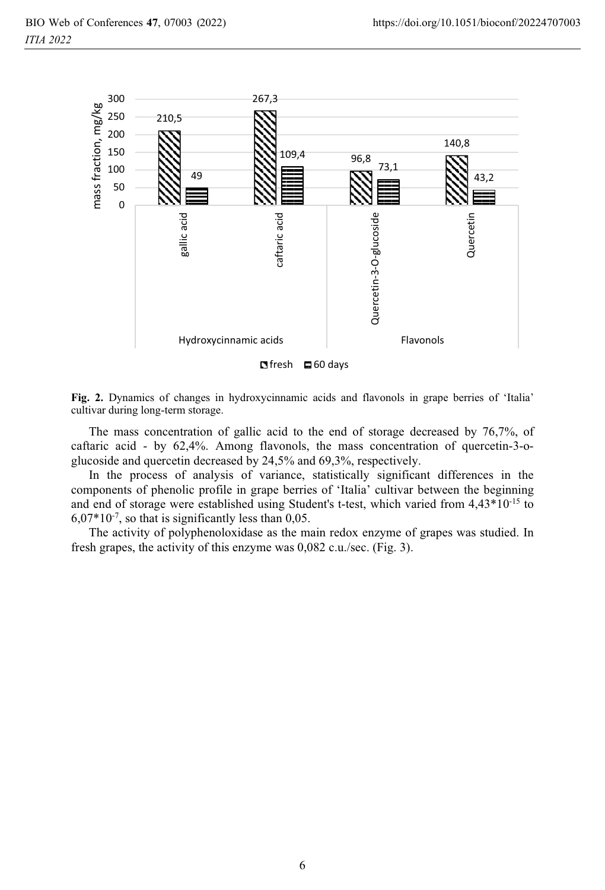

 $$ 

**Fig. 2.** Dynamics of changes in hydroxycinnamic acids and flavonols in grape berries of 'Italia' cultivar during long-term storage cultivar during long-term storage.

The mass concentration of gallic acid to the end of storage decreased by  $76,7\%$ , of caftaric acid - by  $62,4\%$ . Among flavonols, the mass concentration of quercetin-3-oglucoside and quercetin decreased by  $24,5\%$  and  $69,3\%$ , respectively.

In the process of analysis of variance, statistically significant differences in the components of phenolic profile in grape berries of 'Italia' cultivar between the beginning and end of storage were established using Student's t-test, which varied from 4,43\*10<sup>-15</sup> to  $6,07*10<sup>-7</sup>$ , so that is significantly less than 0,05.

The activity of polyphenoloxidase as the main redox enzyme of grapes was studied. In fresh grapes, the activity of this enzyme was  $0,082$  c.u./sec. (Fig. 3).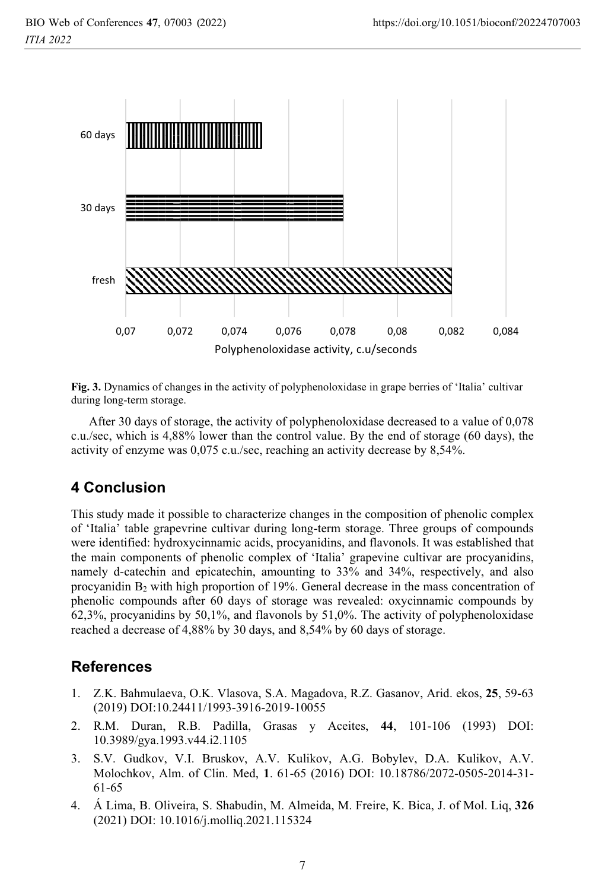

Fig. 3. Dynamics of changes in the activity of polyphenoloxidase in grape berries of 'Italia' cultivar during long-term storage.

After 30 days of storage, the activity of polyphenoloxidase decreased to a value of 0,078 c.u./sec, which is 4,88% lower than the control value. By the end of storage (60 days), the activity of enzyme was 0,075 c.u./sec, reaching an activity decrease by 8,54%.

## **4 Conclusion**

This study made it possible to characterize changes in the composition of phenolic complex of 'Italia' table grapevrine cultivar during long-term storage. Three groups of compounds were identified: hydroxycinnamic acids, procyanidins, and flavonols. It was established that the main components of phenolic complex of 'Italia' grapevine cultivar are procyanidins, namely d-catechin and epicatechin, amounting to 33% and 34%, respectively, and also procyanidin B<sub>2</sub> with high proportion of 19%. General decrease in the mass concentration of phenolic compounds after 60 days of storage was revealed: oxycinnamic compounds by  $62,3\%$ , procyanidins by  $50,1\%$ , and flavonols by  $51,0\%$ . The activity of polyphenoloxidase reached a decrease of 4,88% by 30 days, and 8,54% by 60 days of storage.

## **References**

- Z.K. Bahmulaeva, O.K. Vlasova, S.A. Magadova, R.Z. Gasanov, Arid. ekos, 25, 59-63 1. (2019) DOI:10.24411/1993-3916-2019-10055
- 2. R.M. Duran, R.B. Padilla, Grasas y Aceites, 44, 101-106 (1993) DOI: 10.3989/gya.1993.v44.i2.1105
- S.V. Gudkov, V.I. Bruskov, A.V. Kulikov, A.G. Bobylev, D.A. Kulikov, A.V.  $3.$ Molochkov, Alm. of Clin. Med, 1. 61-65 (2016) DOI: 10.18786/2072-0505-2014-31- $61 - 65$
- 4. Á Lima, B. Oliveira, S. Shabudin, M. Almeida, M. Freire, K. Bica, J. of Mol. Liq, 326 (2021) DOI: 10.1016/j.molliq.2021.115324